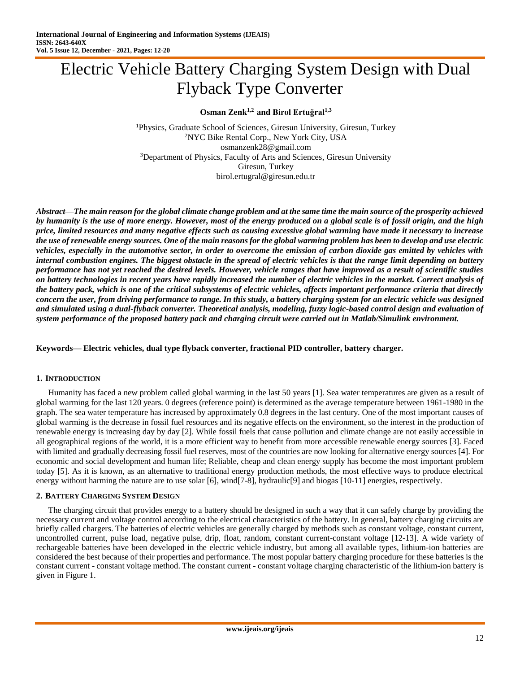# Electric Vehicle Battery Charging System Design with Dual Flyback Type Converter

**Osman Zenk1,2 and Birol Ertuğral1,3**

<sup>1</sup>Physics, Graduate School of Sciences, Giresun University, Giresun, Turkey <sup>2</sup>NYC Bike Rental Corp., New York City, USA osmanzenk28@gmail.com <sup>3</sup>Department of Physics, Faculty of Arts and Sciences, Giresun University Giresun, Turkey birol.ertugral@giresun.edu.tr

*Abstract***—***The main reason for the global climate change problem and at the same time the main source of the prosperity achieved by humanity is the use of more energy. However, most of the energy produced on a global scale is of fossil origin, and the high price, limited resources and many negative effects such as causing excessive global warming have made it necessary to increase the use of renewable energy sources. One of the main reasons for the global warming problem has been to develop and use electric vehicles, especially in the automotive sector, in order to overcome the emission of carbon dioxide gas emitted by vehicles with internal combustion engines. The biggest obstacle in the spread of electric vehicles is that the range limit depending on battery performance has not yet reached the desired levels. However, vehicle ranges that have improved as a result of scientific studies on battery technologies in recent years have rapidly increased the number of electric vehicles in the market. Correct analysis of the battery pack, which is one of the critical subsystems of electric vehicles, affects important performance criteria that directly concern the user, from driving performance to range. In this study, a battery charging system for an electric vehicle was designed and simulated using a dual-flyback converter. Theoretical analysis, modeling, fuzzy logic-based control design and evaluation of system performance of the proposed battery pack and charging circuit were carried out in Matlab/Simulink environment.*

**Keywords— Electric vehicles, dual type flyback converter, fractional PID controller, battery charger.**

#### **1. INTRODUCTION**

Humanity has faced a new problem called global warming in the last 50 years [1]. Sea water temperatures are given as a result of global warming for the last 120 years. 0 degrees (reference point) is determined as the average temperature between 1961-1980 in the graph. The sea water temperature has increased by approximately 0.8 degrees in the last century. One of the most important causes of global warming is the decrease in fossil fuel resources and its negative effects on the environment, so the interest in the production of renewable energy is increasing day by day [2]. While fossil fuels that cause pollution and climate change are not easily accessible in all geographical regions of the world, it is a more efficient way to benefit from more accessible renewable energy sources [3]. Faced with limited and gradually decreasing fossil fuel reserves, most of the countries are now looking for alternative energy sources [4]. For economic and social development and human life; Reliable, cheap and clean energy supply has become the most important problem today [5]. As it is known, as an alternative to traditional energy production methods, the most effective ways to produce electrical energy without harming the nature are to use solar [6], wind[7-8], hydraulic[9] and biogas [10-11] energies, respectively.

#### **2. BATTERY CHARGING SYSTEM DESIGN**

The charging circuit that provides energy to a battery should be designed in such a way that it can safely charge by providing the necessary current and voltage control according to the electrical characteristics of the battery. In general, battery charging circuits are briefly called chargers. The batteries of electric vehicles are generally charged by methods such as constant voltage, constant current, uncontrolled current, pulse load, negative pulse, drip, float, random, constant current-constant voltage [12-13]. A wide variety of rechargeable batteries have been developed in the electric vehicle industry, but among all available types, lithium-ion batteries are considered the best because of their properties and performance. The most popular battery charging procedure for these batteries is the constant current - constant voltage method. The constant current - constant voltage charging characteristic of the lithium-ion battery is given in Figure 1.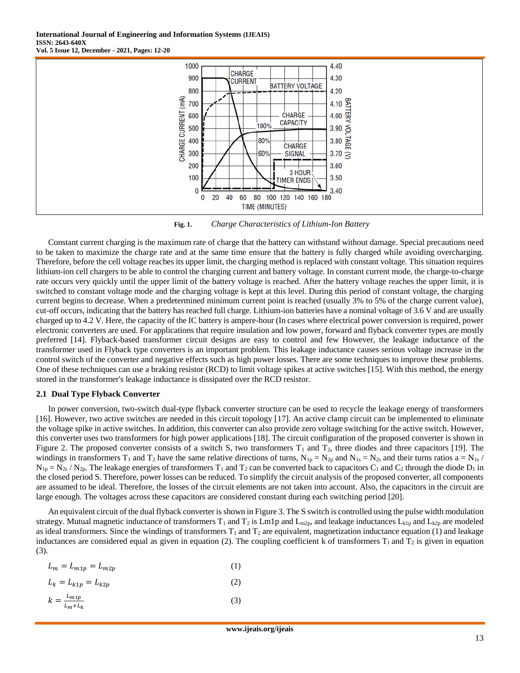

**Fig. 1.** *Charge Characteristics of Lithium-Ion Battery*

Constant current charging is the maximum rate of charge that the battery can withstand without damage. Special precautions need to be taken to maximize the charge rate and at the same time ensure that the battery is fully charged while avoiding overcharging. Therefore, before the cell voltage reaches its upper limit, the charging method is replaced with constant voltage. This situation requires lithium-ion cell chargers to be able to control the charging current and battery voltage. In constant current mode, the charge-to-charge rate occurs very quickly until the upper limit of the battery voltage is reached. After the battery voltage reaches the upper limit, it is switched to constant voltage mode and the charging voltage is kept at this level. During this period of constant voltage, the charging current begins to decrease. When a predetermined minimum current point is reached (usually 3% to 5% of the charge current value), cut-off occurs, indicating that the battery has reached full charge. Lithium-ion batteries have a nominal voltage of 3.6 V and are usually charged up to 4.2 V. Here, the capacity of the IC battery is ampere-hour (In cases where electrical power conversion is required, power electronic converters are used. For applications that require insulation and low power, forward and flyback converter types are mostly preferred [14]. Flyback-based transformer circuit designs are easy to control and few However, the leakage inductance of the transformer used in Flyback type converters is an important problem. This leakage inductance causes serious voltage increase in the control switch of the converter and negative effects such as high power losses. There are some techniques to improve these problems. One of these techniques can use a braking resistor (RCD) to limit voltage spikes at active switches [15]. With this method, the energy stored in the transformer's leakage inductance is dissipated over the RCD resistor.

#### **2.1 Dual Type Flyback Converter**

In power conversion, two-switch dual-type flyback converter structure can be used to recycle the leakage energy of transformers [16]. However, two active switches are needed in this circuit topology [17]. An active clamp circuit can be implemented to eliminate the voltage spike in active switches. In addition, this converter can also provide zero voltage switching for the active switch. However, this converter uses two transformers for high power applications [18]. The circuit configuration of the proposed converter is shown in Figure 2. The proposed converter consists of a switch S, two transformers  $T_1$  and  $T_2$ , three diodes and three capacitors [19]. The windings in transformers T<sub>1</sub> and T<sub>2</sub> have the same relative directions of turns, N<sub>1p</sub> = N<sub>2p</sub> and N<sub>1s</sub> = N<sub>2s</sub> and their turns ratios a = N<sub>1s</sub> /  $N_{1p} = N_{2s} / N_{2p}$ . The leakage energies of transformers T<sub>1</sub> and T<sub>2</sub> can be converted back to capacitors C<sub>1</sub> and C<sub>2</sub> through the diode D<sub>1</sub> in the closed period S. Therefore, power losses can be reduced. To simplify the circuit analysis of the proposed converter, all components are assumed to be ideal. Therefore, the losses of the circuit elements are not taken into account. Also, the capacitors in the circuit are large enough. The voltages across these capacitors are considered constant during each switching period [20].

An equivalent circuit of the dual flyback converter is shown in Figure 3. The S switch is controlled using the pulse width modulation strategy. Mutual magnetic inductance of transformers  $T_1$  and  $T_2$  is Lm1p and L<sub>m2p</sub>, and leakage inductances L<sub>k1p</sub> and L<sub>k2p</sub> are modeled as ideal transformers. Since the windings of transformers  $T_1$  and  $T_2$  are equivalent, magnetization inductance equation (1) and leakage inductances are considered equal as given in equation (2). The coupling coefficient k of transformers  $T_1$  and  $T_2$  is given in equation (3).

$$
L_m = L_{m1p} = L_{m2p} \tag{1}
$$

$$
L_k = L_{k1p} = L_{k2p} \tag{2}
$$

$$
k = \frac{L_{m1p}}{L_m + L_k} \tag{3}
$$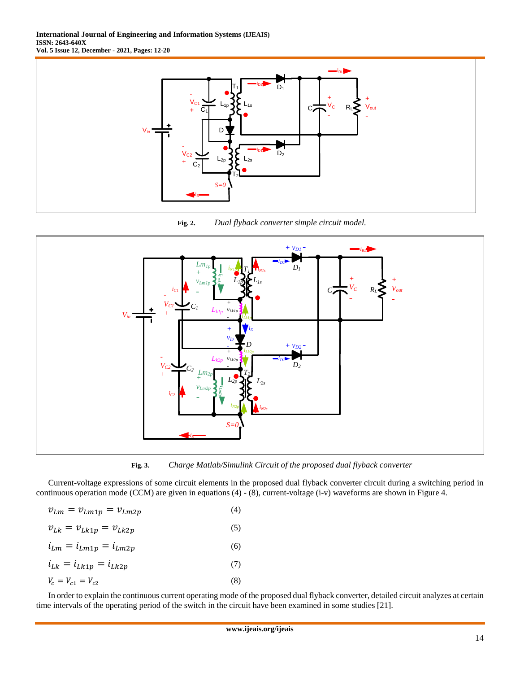**International Journal of Engineering and Information Systems (IJEAIS) ISSN: 2643-640X Vol. 5 Issue 12, December - 2021, Pages: 12-20**



**Fig. 2.** *Dual flyback converter simple circuit model.*



**Fig. 3.** *Charge Matlab/Simulink Circuit of the proposed dual flyback converter*

Current-voltage expressions of some circuit elements in the proposed dual flyback converter circuit during a switching period in continuous operation mode (CCM) are given in equations (4) - (8), current-voltage (i-v) waveforms are shown in Figure 4.

|  | $v_{Lm} = v_{Lm1p} = v_{Lm2p}$ | (4) |
|--|--------------------------------|-----|
|  |                                |     |

| $v_{Lk} = v_{Lk1p} = v_{Lk2p}$ | (5) |
|--------------------------------|-----|
| $i_{Lm} = i_{Lm1p} = i_{Lm2p}$ | (6) |
| $i_{Lk} = i_{Lk1p} = i_{Lk2p}$ | (7) |
| $V_c = V_{c1} = V_{c2}$        | (8) |

In order to explain the continuous current operating mode of the proposed dual flyback converter, detailed circuit analyzes at certain time intervals of the operating period of the switch in the circuit have been examined in some studies [21].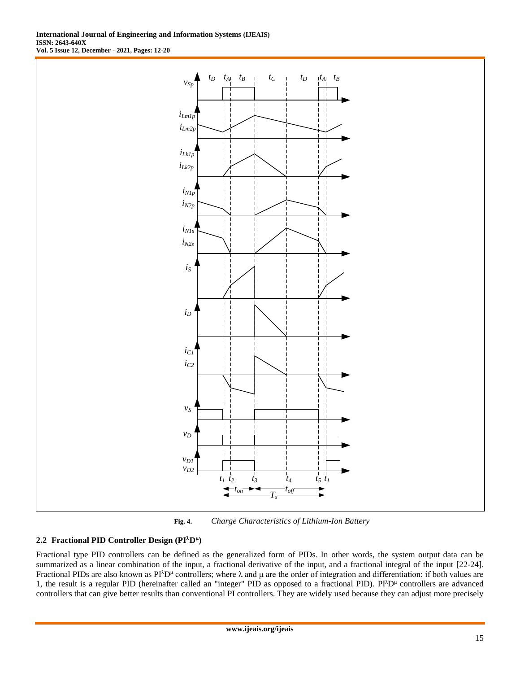

**Fig. 4.** *Charge Characteristics of Lithium-Ion Battery*

# **2.2 Fractional PID Controller Design (PID )**

Fractional type PID controllers can be defined as the generalized form of PIDs. In other words, the system output data can be summarized as a linear combination of the input, a fractional derivative of the input, and a fractional integral of the input [22-24]. Fractional PIDs are also known as  $PI^{\lambda}D^{\mu}$  controllers; where  $\lambda$  and  $\mu$  are the order of integration and differentiation; if both values are 1, the result is a regular PID (hereinafter called an "integer" PID as opposed to a fractional PID).  $PI^{\lambda}D^{\mu}$  controllers are advanced controllers that can give better results than conventional PI controllers. They are widely used because they can adjust more precisely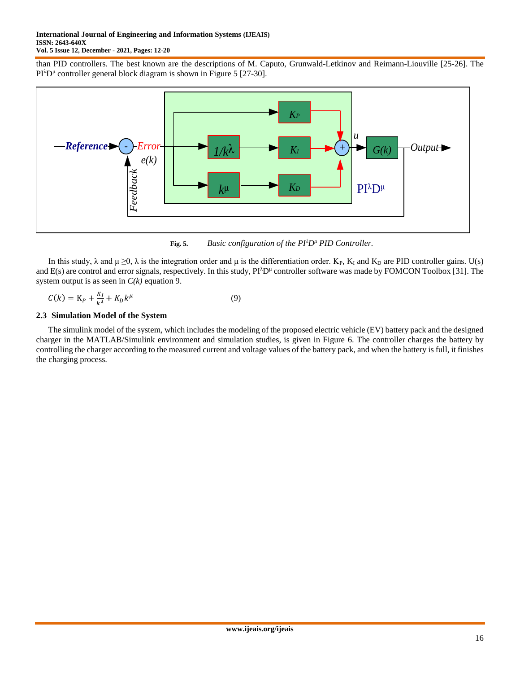than PID controllers. The best known are the descriptions of M. Caputo, Grunwald-Letkinov and Reimann-Liouville [25-26]. The  $PI^{\lambda}D^{\mu}$  controller general block diagram is shown in Figure 5 [27-30].



**Fig. 5.** *Basic configuration of the PI<sup>λ</sup>D<sup>μ</sup> PID Controller.*

In this study,  $\lambda$  and  $\mu \ge 0$ ,  $\lambda$  is the integration order and  $\mu$  is the differentiation order. K<sub>P</sub>, K<sub>I</sub> and K<sub>D</sub> are PID controller gains. U(s) and  $E(s)$  are control and error signals, respectively. In this study,  $Pi^{\lambda}D^{\mu}$  controller software was made by FOMCON Toolbox [31]. The system output is as seen in  $C(k)$  equation 9.

$$
C(k) = K_P + \frac{\kappa_I}{k^{\lambda}} + K_D k^{\mu}
$$
\n<sup>(9)</sup>

## **2.3 Simulation Model of the System**

The simulink model of the system, which includes the modeling of the proposed electric vehicle (EV) battery pack and the designed charger in the MATLAB/Simulink environment and simulation studies, is given in Figure 6. The controller charges the battery by controlling the charger according to the measured current and voltage values of the battery pack, and when the battery is full, it finishes the charging process.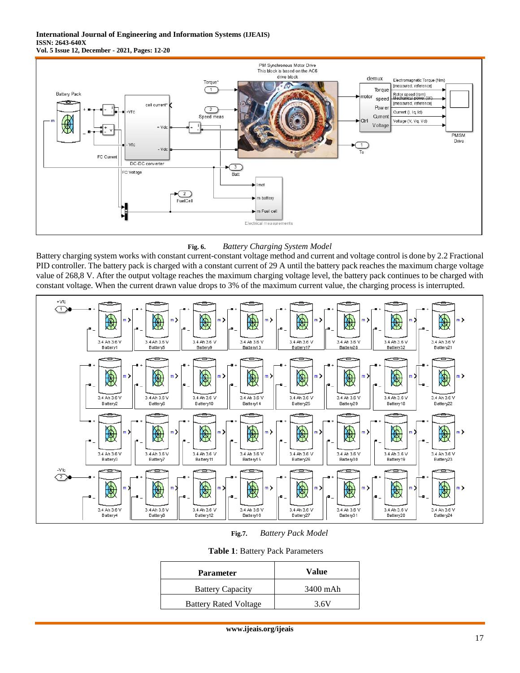#### **International Journal of Engineering and Information Systems (IJEAIS) ISSN: 2643-640X Vol. 5 Issue 12, December - 2021, Pages: 12-20**



## **Fig. 6.** *Battery Charging System Model*

Battery charging system works with constant current-constant voltage method and current and voltage control is done by 2.2 Fractional PID controller. The battery pack is charged with a constant current of 29 A until the battery pack reaches the maximum charge voltage value of 268,8 V. After the output voltage reaches the maximum charging voltage level, the battery pack continues to be charged with constant voltage. When the current drawn value drops to 3% of the maximum current value, the charging process is interrupted.



**Fig.7.** *Battery Pack Model*

| <b>Parameter</b>             | Value    |  |
|------------------------------|----------|--|
| <b>Battery Capacity</b>      | 3400 mAh |  |
| <b>Battery Rated Voltage</b> | 3.6V     |  |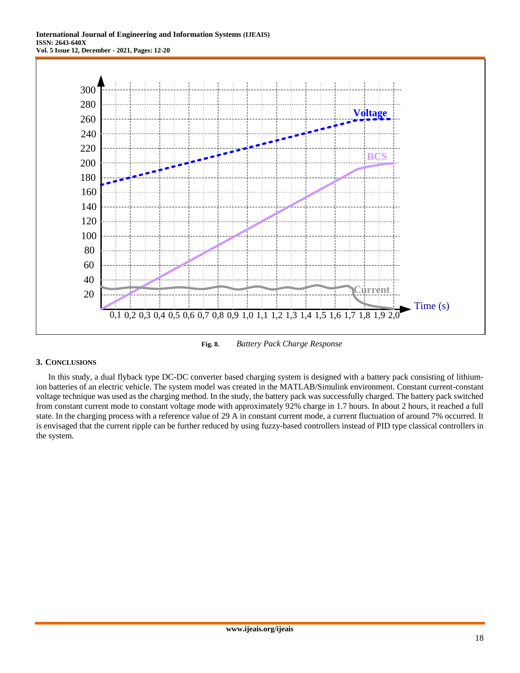**International Journal of Engineering and Information Systems (IJEAIS) ISSN: 2643-640X Vol. 5 Issue 12, December - 2021, Pages: 12-20**



**Fig. 8.** *Battery Pack Charge Response*

#### **3. CONCLUSIONS**

In this study, a dual flyback type DC-DC converter based charging system is designed with a battery pack consisting of lithiumion batteries of an electric vehicle. The system model was created in the MATLAB/Simulink environment. Constant current-constant voltage technique was used as the charging method. In the study, the battery pack was successfully charged. The battery pack switched from constant current mode to constant voltage mode with approximately 92% charge in 1.7 hours. In about 2 hours, it reached a full state. In the charging process with a reference value of 29 A in constant current mode, a current fluctuation of around 7% occurred. It is envisaged that the current ripple can be further reduced by using fuzzy-based controllers instead of PID type classical controllers in the system.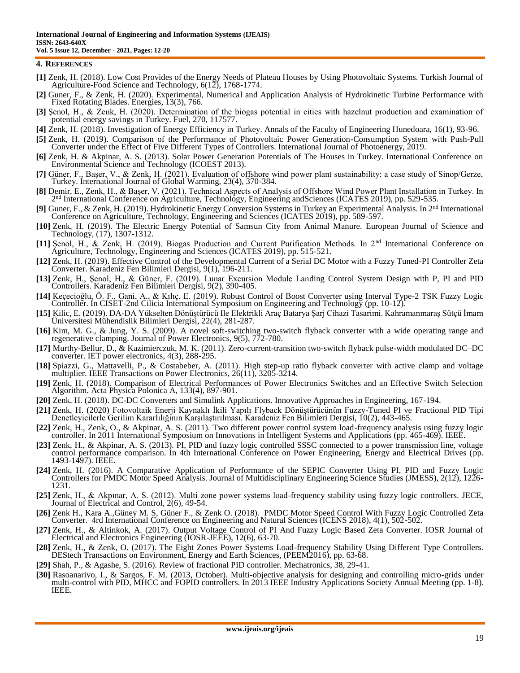#### **4. REFERENCES**

- **[1]** Zenk, H. (2018). Low Cost Provides of the Energy Needs of Plateau Houses by Using Photovoltaic Systems. Turkish Journal of Agriculture-Food Science and Technology, 6(12), 1768-1774.
- **[2]** Guner, F., & Zenk, H. (2020). Experimental, Numerical and Application Analysis of Hydrokinetic Turbine Performance with Fixed Rotating Blades. Energies, 13(3), 766.
- **[3]** Şenol, H., & Zenk, H. (2020). Determination of the biogas potential in cities with hazelnut production and examination of potential energy savings in Turkey. Fuel, 270, 117577.
- **[4]** Zenk, H. (2018). Investigation of Energy Efficiency in Turkey. Annals of the Faculty of Engineering Hunedoara, 16(1), 93-96.
- **[5]** Zenk, H. (2019). Comparison of the Performance of Photovoltaic Power Generation-Consumption System with Push-Pull Converter under the Effect of Five Different Types of Controllers. International Journal of Photoenergy, 2019.
- **[6]** Zenk, H. & Akpinar, A. S. (2013). Solar Power Generation Potentials of The Houses in Turkey. International Conference on Environmental Science and Technology (ICOEST 2013).
- **[7]** Güner, F., Başer, V., & Zenk, H. (2021). Evaluation of offshore wind power plant sustainability: a case study of Sinop/Gerze, Turkey. International Journal of Global Warming, 23(4), 370-384.
- **[8]** Demir, E., Zenk, H., & Başer, V. (2021). Technical Aspects of Analysis of Offshore Wind Power Plant Installation in Turkey. In 2<sup>nd</sup> International Conference on Agriculture, Technology, Engineering andSciences (ICATES 2019), pp. 529-535.
- **[9]** Guner, F., & Zenk, H. (2019). Hydrokinetic Energy Conversion Systems in Turkey an Experimental Analysis. In 2nd International Conference on Agriculture, Technology, Engineering and Sciences (ICATES 2019), pp. 589-597.
- **[10]** Zenk, H. (2019). The Electric Energy Potential of Samsun City from Animal Manure. European Journal of Science and Technology, (17), 1307-1312.
- **[11]** Şenol, H., & Zenk, H. (2019). Biogas Production and Current Purification Methods. In 2nd International Conference on Agriculture, Technology, Engineering and Sciences (ICATES 2019), pp. 515-521.
- **[12]** Zenk, H. (2019). Effective Control of the Developmental Current of a Serial DC Motor with a Fuzzy Tuned-PI Controller Zeta Converter. Karadeniz Fen Bilimleri Dergisi, 9(1), 196-211.
- **[13]** Zenk, H., Şenol, H., & Güner, F. (2019). Lunar Excursion Module Landing Control System Design with P, PI and PID Controllers. Karadeniz Fen Bilimleri Dergisi, 9(2), 390-405.
- **[14]** Keçecioğlu, Ö. F., Gani, A., & Kılıç, E. (2019). Robust Control of Boost Converter using Interval Type-2 TSK Fuzzy Logic Controller. In CISET-2nd Cilicia International Symposium on Engineering and Technology (pp. 10-12).
- **[15]** Kilic, E. (2019). DA-DA Yükselten Dönüştürücü Ile Elektrikli Araç Batarya Şarj Cihazi Tasarimi. Kahramanmaraş Sütçü İmam Üniversitesi Mühendislik Bilimleri Dergisi, 22(4), 281-287.
- **[16]** Kim, M. G., & Jung, Y. S. (2009). A novel soft-switching two-switch flyback converter with a wide operating range and regenerative clamping. Journal of Power Electronics, 9(5), 772-780.
- **[17]** Murthy-Bellur, D., & Kazimierczuk, M. K. (2011). Zero-current-transition two-switch flyback pulse-width modulated DC–DC converter. IET power electronics, 4(3), 288-295.
- **[18]** Spiazzi, G., Mattavelli, P., & Costabeber, A. (2011). High step-up ratio flyback converter with active clamp and voltage multiplier. IEEE Transactions on Power Electronics, 26(11), 3205-3214.
- **[19]** Zenk, H. (2018). Comparison of Electrical Performances of Power Electronics Switches and an Effective Switch Selection Algorithm. Acta Physica Polonica A, 133(4), 897-901.
- **[20]** Zenk, H. (2018). DC-DC Converters and Simulink Applications. Innovative Approaches in Engineering, 167-194.
- **[21]** Zenk, H. (2020) Fotovoltaik Enerji Kaynaklı İkili Yapılı Flyback Dönüştürücünün Fuzzy-Tuned PI ve Fractional PID Tipi Denetleyicilerle Gerilim Kararlılığının Karşılaştırılması. Karadeniz Fen Bilimleri Dergisi, 10(2), 443-465.
- **[22]** Zenk, H., Zenk, O., & Akpinar, A. S. (2011). Two different power control system load-frequency analysis using fuzzy logic controller. In 2011 International Symposium on Innovations in Intelligent Systems and Applications (pp. 465-469). IEEE.
- **[23]** Zenk, H., & Akpinar, A. S. (2013). PI, PID and fuzzy logic controlled SSSC connected to a power transmission line, voltage control performance comparison. In 4th International Conference on Power Engineering, Energy and Electrical Drives (pp. 1493-1497). IEEE.
- **[24]** Zenk, H. (2016). A Comparative Application of Performance of the SEPIC Converter Using PI, PID and Fuzzy Logic Controllers for PMDC Motor Speed Analysis. Journal of Multidisciplinary Engineering Science Studies (JMESS), 2(12), 1226- 1231.
- **[25]** Zenk, H., & Akpınar, A. S. (2012). Multi zone power systems load-frequency stability using fuzzy logic controllers. JECE, Journal of Electrical and Control, 2(6), 49-54.
- **[26]** Zenk H., Kara A.,Güney M. S, Güner F., & Zenk O. (2018). PMDC Motor Speed Control With Fuzzy Logic Controlled Zeta Converter. 4rd International Conference on Engineering and Natural Sciences (ICENS 2018), 4(1), 502-502.
- **[27]** Zenk, H., & Altinkok, A. (2017). Output Voltage Control of PI And Fuzzy Logic Based Zeta Converter. IOSR Journal of Electrical and Electronics Engineering (IOSR-JEEE), 12(6), 63-70.
- **[28]** Zenk, H., & Zenk, O. (2017). The Eight Zones Power Systems Load-frequency Stability Using Different Type Controllers. DEStech Transactions on Environment, Energy and Earth Sciences, (PEEM2016), pp. 63-68.
- **[29]** Shah, P., & Agashe, S. (2016). Review of fractional PID controller. Mechatronics, 38, 29-41.
- **[30]** Rasoanarivo, I., & Sargos, F. M. (2013, October). Multi-objective analysis for designing and controlling micro-grids under multi-control with PID, MHCC and FOPID controllers. In 2013 IEEE Industry Applications Society Annual Meeting (pp. 1-8). IEEE.